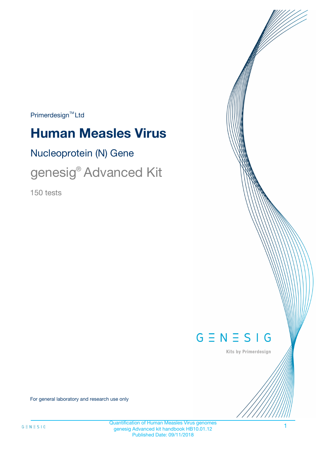$Primerdesign^{\text{TM}}Ltd$ 

# **Human Measles Virus**

Nucleoprotein (N) Gene

genesig® Advanced Kit

150 tests



Kits by Primerdesign

For general laboratory and research use only

1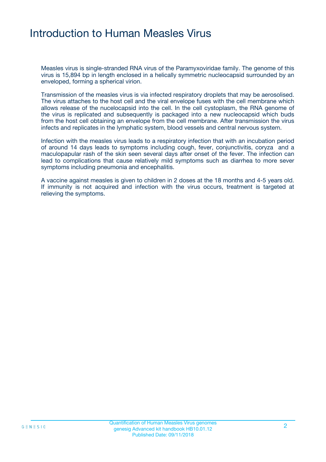# Introduction to Human Measles Virus

Measles virus is single-stranded RNA virus of the Paramyxoviridae family. The genome of this virus is 15,894 bp in length enclosed in a helically symmetric nucleocapsid surrounded by an enveloped, forming a spherical virion.

Transmission of the measles virus is via infected respiratory droplets that may be aerosolised. The virus attaches to the host cell and the viral envelope fuses with the cell membrane which allows release of the nucelocapsid into the cell. In the cell cystoplasm, the RNA genome of the virus is replicated and subsequently is packaged into a new nucleocapsid which buds from the host cell obtaining an envelope from the cell membrane. After transmission the virus infects and replicates in the lymphatic system, blood vessels and central nervous system.

Infection with the measles virus leads to a respiratory infection that with an incubation period of around 14 days leads to symptoms including cough, fever, conjunctivitis, coryza and a maculopapular rash of the skin seen several days after onset of the fever. The infection can lead to complications that cause relatively mild symptoms such as diarrhea to more sever symptoms including pneumonia and encephalitis.

A vaccine against measles is given to children in 2 doses at the 18 months and 4-5 years old. If immunity is not acquired and infection with the virus occurs, treatment is targeted at relieving the symptoms.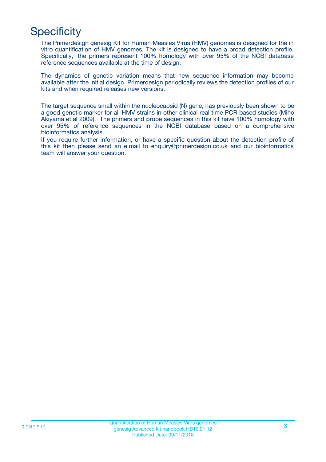# **Specificity**

The Primerdesign genesig Kit for Human Measles Virus (HMV) genomes is designed for the in vitro quantification of HMV genomes. The kit is designed to have a broad detection profile. Specifically, the primers represent 100% homology with over 95% of the NCBI database reference sequences available at the time of design.

The dynamics of genetic variation means that new sequence information may become available after the initial design. Primerdesign periodically reviews the detection profiles of our kits and when required releases new versions.

The target sequence small within the nucleocapsid (N) gene, has previously been shown to be a good genetic marker for all HMV strains in other clinical real time PCR based studies (Miho Akiyama et.al 2009). The primers and probe sequences in this kit have 100% homology with over 95% of reference sequences in the NCBI database based on a comprehensive bioinformatics analysis.

If you require further information, or have a specific question about the detection profile of this kit then please send an e.mail to enquiry@primerdesign.co.uk and our bioinformatics team will answer your question.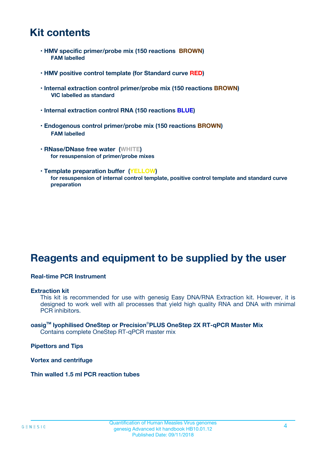# **Kit contents**

- **HMV specific primer/probe mix (150 reactions BROWN) FAM labelled**
- **HMV positive control template (for Standard curve RED)**
- **Internal extraction control primer/probe mix (150 reactions BROWN) VIC labelled as standard**
- **Internal extraction control RNA (150 reactions BLUE)**
- **Endogenous control primer/probe mix (150 reactions BROWN) FAM labelled**
- **RNase/DNase free water (WHITE) for resuspension of primer/probe mixes**
- **Template preparation buffer (YELLOW) for resuspension of internal control template, positive control template and standard curve preparation**

# **Reagents and equipment to be supplied by the user**

#### **Real-time PCR Instrument**

#### **Extraction kit**

This kit is recommended for use with genesig Easy DNA/RNA Extraction kit. However, it is designed to work well with all processes that yield high quality RNA and DNA with minimal PCR inhibitors.

#### **oasigTM lyophilised OneStep or Precision**®**PLUS OneStep 2X RT-qPCR Master Mix** Contains complete OneStep RT-qPCR master mix

**Pipettors and Tips**

**Vortex and centrifuge**

**Thin walled 1.5 ml PCR reaction tubes**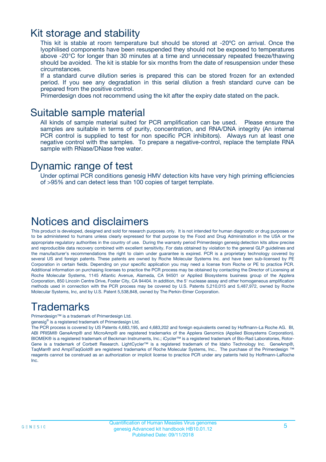### Kit storage and stability

This kit is stable at room temperature but should be stored at -20ºC on arrival. Once the lyophilised components have been resuspended they should not be exposed to temperatures above -20°C for longer than 30 minutes at a time and unnecessary repeated freeze/thawing should be avoided. The kit is stable for six months from the date of resuspension under these circumstances.

If a standard curve dilution series is prepared this can be stored frozen for an extended period. If you see any degradation in this serial dilution a fresh standard curve can be prepared from the positive control.

Primerdesign does not recommend using the kit after the expiry date stated on the pack.

### Suitable sample material

All kinds of sample material suited for PCR amplification can be used. Please ensure the samples are suitable in terms of purity, concentration, and RNA/DNA integrity (An internal PCR control is supplied to test for non specific PCR inhibitors). Always run at least one negative control with the samples. To prepare a negative-control, replace the template RNA sample with RNase/DNase free water.

### Dynamic range of test

Under optimal PCR conditions genesig HMV detection kits have very high priming efficiencies of >95% and can detect less than 100 copies of target template.

# Notices and disclaimers

This product is developed, designed and sold for research purposes only. It is not intended for human diagnostic or drug purposes or to be administered to humans unless clearly expressed for that purpose by the Food and Drug Administration in the USA or the appropriate regulatory authorities in the country of use. During the warranty period Primerdesign genesig detection kits allow precise and reproducible data recovery combined with excellent sensitivity. For data obtained by violation to the general GLP guidelines and the manufacturer's recommendations the right to claim under guarantee is expired. PCR is a proprietary technology covered by several US and foreign patents. These patents are owned by Roche Molecular Systems Inc. and have been sub-licensed by PE Corporation in certain fields. Depending on your specific application you may need a license from Roche or PE to practice PCR. Additional information on purchasing licenses to practice the PCR process may be obtained by contacting the Director of Licensing at Roche Molecular Systems, 1145 Atlantic Avenue, Alameda, CA 94501 or Applied Biosystems business group of the Applera Corporation, 850 Lincoln Centre Drive, Foster City, CA 94404. In addition, the 5' nuclease assay and other homogeneous amplification methods used in connection with the PCR process may be covered by U.S. Patents 5,210,015 and 5,487,972, owned by Roche Molecular Systems, Inc, and by U.S. Patent 5,538,848, owned by The Perkin-Elmer Corporation.

# Trademarks

Primerdesign™ is a trademark of Primerdesign Ltd.

genesig® is a registered trademark of Primerdesign Ltd.

The PCR process is covered by US Patents 4,683,195, and 4,683,202 and foreign equivalents owned by Hoffmann-La Roche AG. BI, ABI PRISM® GeneAmp® and MicroAmp® are registered trademarks of the Applera Genomics (Applied Biosystems Corporation). BIOMEK® is a registered trademark of Beckman Instruments, Inc.; iCycler™ is a registered trademark of Bio-Rad Laboratories, Rotor-Gene is a trademark of Corbett Research. LightCycler™ is a registered trademark of the Idaho Technology Inc. GeneAmp®, TaqMan® and AmpliTaqGold® are registered trademarks of Roche Molecular Systems, Inc., The purchase of the Primerdesign ™ reagents cannot be construed as an authorization or implicit license to practice PCR under any patents held by Hoffmann-LaRoche Inc.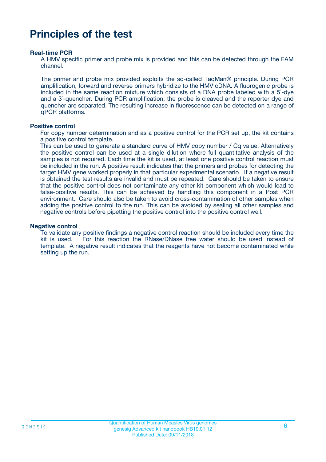# **Principles of the test**

#### **Real-time PCR**

A HMV specific primer and probe mix is provided and this can be detected through the FAM channel.

The primer and probe mix provided exploits the so-called TaqMan® principle. During PCR amplification, forward and reverse primers hybridize to the HMV cDNA. A fluorogenic probe is included in the same reaction mixture which consists of a DNA probe labeled with a 5`-dye and a 3`-quencher. During PCR amplification, the probe is cleaved and the reporter dye and quencher are separated. The resulting increase in fluorescence can be detected on a range of qPCR platforms.

#### **Positive control**

For copy number determination and as a positive control for the PCR set up, the kit contains a positive control template.

This can be used to generate a standard curve of HMV copy number / Cq value. Alternatively the positive control can be used at a single dilution where full quantitative analysis of the samples is not required. Each time the kit is used, at least one positive control reaction must be included in the run. A positive result indicates that the primers and probes for detecting the target HMV gene worked properly in that particular experimental scenario. If a negative result is obtained the test results are invalid and must be repeated. Care should be taken to ensure that the positive control does not contaminate any other kit component which would lead to false-positive results. This can be achieved by handling this component in a Post PCR environment. Care should also be taken to avoid cross-contamination of other samples when adding the positive control to the run. This can be avoided by sealing all other samples and negative controls before pipetting the positive control into the positive control well.

#### **Negative control**

To validate any positive findings a negative control reaction should be included every time the kit is used. For this reaction the RNase/DNase free water should be used instead of template. A negative result indicates that the reagents have not become contaminated while setting up the run.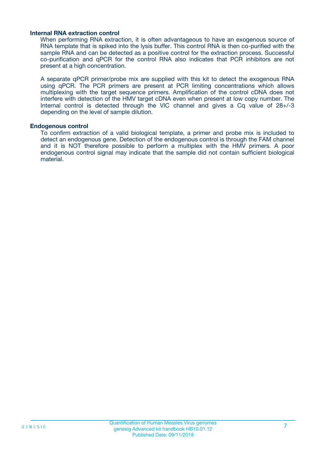#### **Internal RNA extraction control**

When performing RNA extraction, it is often advantageous to have an exogenous source of RNA template that is spiked into the lysis buffer. This control RNA is then co-purified with the sample RNA and can be detected as a positive control for the extraction process. Successful co-purification and qPCR for the control RNA also indicates that PCR inhibitors are not present at a high concentration.

A separate qPCR primer/probe mix are supplied with this kit to detect the exogenous RNA using qPCR. The PCR primers are present at PCR limiting concentrations which allows multiplexing with the target sequence primers. Amplification of the control cDNA does not interfere with detection of the HMV target cDNA even when present at low copy number. The Internal control is detected through the VIC channel and gives a Cq value of 28+/-3 depending on the level of sample dilution.

#### **Endogenous control**

To confirm extraction of a valid biological template, a primer and probe mix is included to detect an endogenous gene. Detection of the endogenous control is through the FAM channel and it is NOT therefore possible to perform a multiplex with the HMV primers. A poor endogenous control signal may indicate that the sample did not contain sufficient biological material.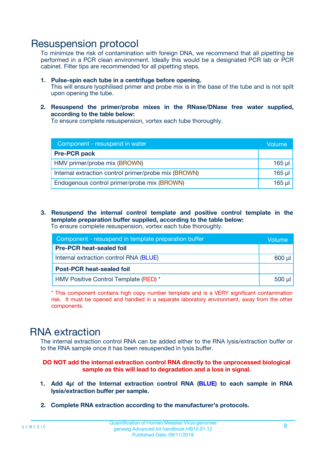### Resuspension protocol

To minimize the risk of contamination with foreign DNA, we recommend that all pipetting be performed in a PCR clean environment. Ideally this would be a designated PCR lab or PCR cabinet. Filter tips are recommended for all pipetting steps.

- **1. Pulse-spin each tube in a centrifuge before opening.** This will ensure lyophilised primer and probe mix is in the base of the tube and is not spilt upon opening the tube.
- **2. Resuspend the primer/probe mixes in the RNase/DNase free water supplied, according to the table below:**

To ensure complete resuspension, vortex each tube thoroughly.

| Component - resuspend in water                       |          |  |
|------------------------------------------------------|----------|--|
| <b>Pre-PCR pack</b>                                  |          |  |
| HMV primer/probe mix (BROWN)                         | $165$ µl |  |
| Internal extraction control primer/probe mix (BROWN) | $165$ µl |  |
| Endogenous control primer/probe mix (BROWN)          | 165 µl   |  |

**3. Resuspend the internal control template and positive control template in the template preparation buffer supplied, according to the table below:** To ensure complete resuspension, vortex each tube thoroughly.

| Component - resuspend in template preparation buffer |             |  |  |
|------------------------------------------------------|-------------|--|--|
| <b>Pre-PCR heat-sealed foil</b>                      |             |  |  |
| Internal extraction control RNA (BLUE)               |             |  |  |
| <b>Post-PCR heat-sealed foil</b>                     |             |  |  |
| HMV Positive Control Template (RED) *                | $500$ $\mu$ |  |  |

\* This component contains high copy number template and is a VERY significant contamination risk. It must be opened and handled in a separate laboratory environment, away from the other components.

# RNA extraction

The internal extraction control RNA can be added either to the RNA lysis/extraction buffer or to the RNA sample once it has been resuspended in lysis buffer.

#### **DO NOT add the internal extraction control RNA directly to the unprocessed biological sample as this will lead to degradation and a loss in signal.**

- **1. Add 4µ**l **of the Internal extraction control RNA (BLUE) to each sample in RNA lysis/extraction buffer per sample.**
- **2. Complete RNA extraction according to the manufacturer's protocols.**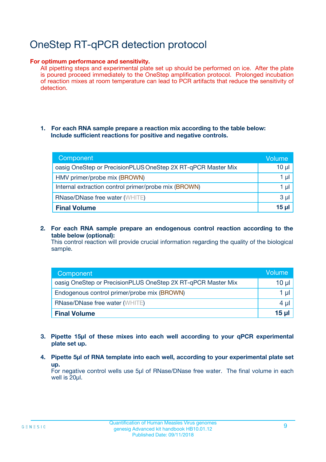# OneStep RT-qPCR detection protocol

#### **For optimum performance and sensitivity.**

All pipetting steps and experimental plate set up should be performed on ice. After the plate is poured proceed immediately to the OneStep amplification protocol. Prolonged incubation of reaction mixes at room temperature can lead to PCR artifacts that reduce the sensitivity of detection.

#### **1. For each RNA sample prepare a reaction mix according to the table below: Include sufficient reactions for positive and negative controls.**

| Component                                                    | <b>Volume</b> |
|--------------------------------------------------------------|---------------|
| oasig OneStep or PrecisionPLUS OneStep 2X RT-qPCR Master Mix | $10 \mu$      |
| HMV primer/probe mix (BROWN)                                 | 1 µI          |
| Internal extraction control primer/probe mix (BROWN)         | 1 µl          |
| <b>RNase/DNase free water (WHITE)</b>                        | $3 \mu$       |
| <b>Final Volume</b>                                          | 15 µl         |

**2. For each RNA sample prepare an endogenous control reaction according to the table below (optional):**

This control reaction will provide crucial information regarding the quality of the biological sample.

| Component                                                    | Volume   |
|--------------------------------------------------------------|----------|
| oasig OneStep or PrecisionPLUS OneStep 2X RT-qPCR Master Mix | 10 $\mu$ |
| Endogenous control primer/probe mix (BROWN)                  | 1 ul     |
| <b>RNase/DNase free water (WHITE)</b>                        | $4 \mu$  |
| <b>Final Volume</b>                                          | 15 µl    |

- **3. Pipette 15µl of these mixes into each well according to your qPCR experimental plate set up.**
- **4. Pipette 5µl of RNA template into each well, according to your experimental plate set up.**

For negative control wells use 5µl of RNase/DNase free water. The final volume in each well is 20µl.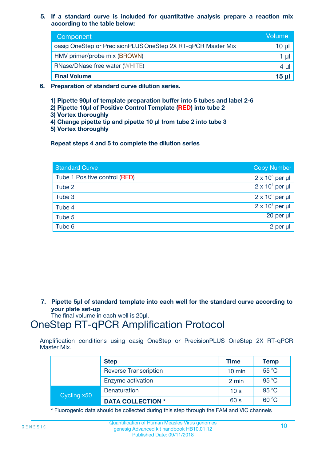**5. If a standard curve is included for quantitative analysis prepare a reaction mix according to the table below:**

| Component                                                    | Volume       |
|--------------------------------------------------------------|--------------|
| oasig OneStep or PrecisionPLUS OneStep 2X RT-qPCR Master Mix | 10 µl        |
| HMV primer/probe mix (BROWN)                                 |              |
| <b>RNase/DNase free water (WHITE)</b>                        | 4 U          |
| <b>Final Volume</b>                                          | <u>15 µl</u> |

- **6. Preparation of standard curve dilution series.**
	- **1) Pipette 90µl of template preparation buffer into 5 tubes and label 2-6**
	- **2) Pipette 10µl of Positive Control Template (RED) into tube 2**
	- **3) Vortex thoroughly**
	- **4) Change pipette tip and pipette 10 µl from tube 2 into tube 3**
	- **5) Vortex thoroughly**

**Repeat steps 4 and 5 to complete the dilution series**

| <b>Standard Curve</b>         | <b>Copy Number</b>     |
|-------------------------------|------------------------|
| Tube 1 Positive control (RED) | $2 \times 10^5$ per µl |
| Tube 2                        | $2 \times 10^4$ per µl |
| Tube 3                        | $2 \times 10^3$ per µl |
| Tube 4                        | $2 \times 10^2$ per µl |
| Tube 5                        | 20 per µl              |
| Tube 6                        | $2$ per $\mu$          |

**7. Pipette 5µl of standard template into each well for the standard curve according to your plate set-up**

The final volume in each well is 20µl.

# OneStep RT-qPCR Amplification Protocol

Amplification conditions using oasig OneStep or PrecisionPLUS OneStep 2X RT-qPCR Master Mix.

|             | <b>Step</b>                  | <b>Time</b>      | <b>Temp</b> |
|-------------|------------------------------|------------------|-------------|
|             | <b>Reverse Transcription</b> | $10 \text{ min}$ | 55 °C       |
|             | Enzyme activation            | 2 min            | 95 °C       |
| Cycling x50 | Denaturation                 | 10 <sub>s</sub>  | 95 °C       |
|             | <b>DATA COLLECTION *</b>     | 60 s             | 60 °C       |

\* Fluorogenic data should be collected during this step through the FAM and VIC channels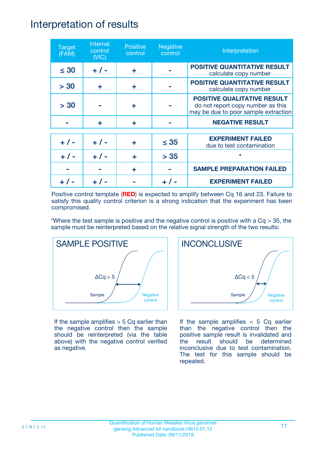### Interpretation of results

| <b>Target</b><br>(FAM) | Internal<br>control<br>(NIC) | <b>Positive</b><br>control | <b>Negative</b><br>control | Interpretation                                                                                                  |
|------------------------|------------------------------|----------------------------|----------------------------|-----------------------------------------------------------------------------------------------------------------|
| $\leq 30$              | $+ 1 -$                      | ÷                          |                            | <b>POSITIVE QUANTITATIVE RESULT</b><br>calculate copy number                                                    |
| > 30                   | ÷                            | ÷                          |                            | <b>POSITIVE QUANTITATIVE RESULT</b><br>calculate copy number                                                    |
| > 30                   |                              | ÷                          |                            | <b>POSITIVE QUALITATIVE RESULT</b><br>do not report copy number as this<br>may be due to poor sample extraction |
|                        | ÷                            | ÷                          |                            | <b>NEGATIVE RESULT</b>                                                                                          |
| $+ 1 -$                | $+ 1 -$                      | ÷                          | $\leq$ 35                  | <b>EXPERIMENT FAILED</b><br>due to test contamination                                                           |
|                        | $+$ / -                      |                            | > 35                       | $\star$                                                                                                         |
|                        |                              | ÷                          |                            | <b>SAMPLE PREPARATION FAILED</b>                                                                                |
|                        |                              |                            |                            | <b>EXPERIMENT FAILED</b>                                                                                        |

Positive control template (**RED**) is expected to amplify between Cq 16 and 23. Failure to satisfy this quality control criterion is a strong indication that the experiment has been compromised.

\*Where the test sample is positive and the negative control is positive with a  $Cq > 35$ , the sample must be reinterpreted based on the relative signal strength of the two results:



If the sample amplifies  $> 5$  Cq earlier than the negative control then the sample should be reinterpreted (via the table above) with the negative control verified as negative.



If the sample amplifies  $< 5$  Cq earlier than the negative control then the positive sample result is invalidated and the result should be determined inconclusive due to test contamination. The test for this sample should be repeated.